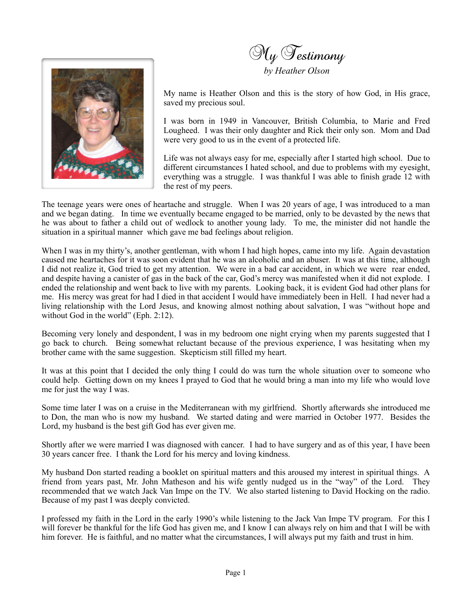



My name is Heather Olson and this is the story of how God, in His grace, saved my precious soul.

I was born in 1949 in Vancouver, British Columbia, to Marie and Fred Lougheed. I was their only daughter and Rick their only son. Mom and Dad were very good to us in the event of a protected life.

Life was not always easy for me, especially after I started high school. Due to different circumstances I hated school, and due to problems with my eyesight, everything was a struggle. I was thankful I was able to finish grade 12 with the rest of my peers.

The teenage years were ones of heartache and struggle. When I was 20 years of age, I was introduced to a man and we began dating. In time we eventually became engaged to be married, only to be devasted by the news that he was about to father a child out of wedlock to another young lady. To me, the minister did not handle the situation in a spiritual manner which gave me bad feelings about religion.

When I was in my thirty's, another gentleman, with whom I had high hopes, came into my life. Again devastation caused me heartaches for it was soon evident that he was an alcoholic and an abuser. It was at this time, although I did not realize it, God tried to get my attention. We were in a bad car accident, in which we were rear ended, and despite having a canister of gas in the back of the car, God's mercy was manifested when it did not explode. I ended the relationship and went back to live with my parents. Looking back, it is evident God had other plans for me. His mercy was great for had I died in that accident I would have immediately been in Hell. I had never had a living relationship with the Lord Jesus, and knowing almost nothing about salvation, I was "without hope and without God in the world" (Eph. 2:12).

Becoming very lonely and despondent, I was in my bedroom one night crying when my parents suggested that I go back to church. Being somewhat reluctant because of the previous experience, I was hesitating when my brother came with the same suggestion. Skepticism still filled my heart.

It was at this point that I decided the only thing I could do was turn the whole situation over to someone who could help. Getting down on my knees I prayed to God that he would bring a man into my life who would love me for just the way I was.

Some time later I was on a cruise in the Mediterranean with my girlfriend. Shortly afterwards she introduced me to Don, the man who is now my husband. We started dating and were married in October 1977. Besides the Lord, my husband is the best gift God has ever given me.

Shortly after we were married I was diagnosed with cancer. I had to have surgery and as of this year, I have been 30 years cancer free. I thank the Lord for his mercy and loving kindness.

My husband Don started reading a booklet on spiritual matters and this aroused my interest in spiritual things. A friend from years past, Mr. John Matheson and his wife gently nudged us in the "way" of the Lord. They recommended that we watch Jack Van Impe on the TV. We also started listening to David Hocking on the radio. Because of my past I was deeply convicted.

I professed my faith in the Lord in the early 1990's while listening to the Jack Van Impe TV program. For this I will forever be thankful for the life God has given me, and I know I can always rely on him and that I will be with him forever. He is faithful, and no matter what the circumstances, I will always put my faith and trust in him.